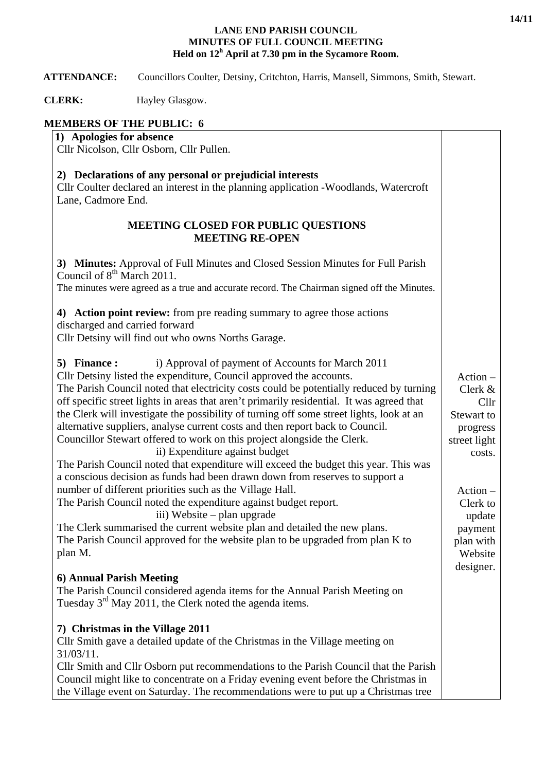#### **LANE END PARISH COUNCIL MINUTES OF FULL COUNCIL MEETING Held on 12<sup>h</sup> April at 7.30 pm in the Sycamore Room.**

 **ATTENDANCE:** Councillors Coulter, Detsiny, Critchton, Harris, Mansell, Simmons, Smith, Stewart.

**CLERK:** Hayley Glasgow.

# **MEMBERS OF THE PUBLIC: 6**

### **1) Apologies for absence**

Cllr Nicolson, Cllr Osborn, Cllr Pullen.

### **2) Declarations of any personal or prejudicial interests**

Cllr Coulter declared an interest in the planning application -Woodlands, Watercroft Lane, Cadmore End.

### **MEETING CLOSED FOR PUBLIC QUESTIONS MEETING RE-OPEN**

**3) Minutes:** Approval of Full Minutes and Closed Session Minutes for Full Parish Council of  $8<sup>th</sup>$  March 2011. The minutes were agreed as a true and accurate record. The Chairman signed off the Minutes. **4) Action point review:** from pre reading summary to agree those actions discharged and carried forward Cllr Detsiny will find out who owns Norths Garage. **5) Finance :** i) Approval of payment of Accounts for March 2011 Cllr Detsiny listed the expenditure, Council approved the accounts. The Parish Council noted that electricity costs could be potentially reduced by turning off specific street lights in areas that aren't primarily residential. It was agreed that the Clerk will investigate the possibility of turning off some street lights, look at an alternative suppliers, analyse current costs and then report back to Council. Councillor Stewart offered to work on this project alongside the Clerk. ii) Expenditure against budget The Parish Council noted that expenditure will exceed the budget this year. This was a conscious decision as funds had been drawn down from reserves to support a number of different priorities such as the Village Hall. The Parish Council noted the expenditure against budget report. iii) Website – plan upgrade The Clerk summarised the current website plan and detailed the new plans. The Parish Council approved for the website plan to be upgraded from plan K to plan M. **6) Annual Parish Meeting**  The Parish Council considered agenda items for the Annual Parish Meeting on Tuesday 3<sup>rd</sup> May 2011, the Clerk noted the agenda items. Action – Clerk & Cllr Stewart to progress street light costs. Action – Clerk to update payment plan with Website designer.

## **7) Christmas in the Village 2011**

Cllr Smith gave a detailed update of the Christmas in the Village meeting on 31/03/11.

Cllr Smith and Cllr Osborn put recommendations to the Parish Council that the Parish Council might like to concentrate on a Friday evening event before the Christmas in the Village event on Saturday. The recommendations were to put up a Christmas tree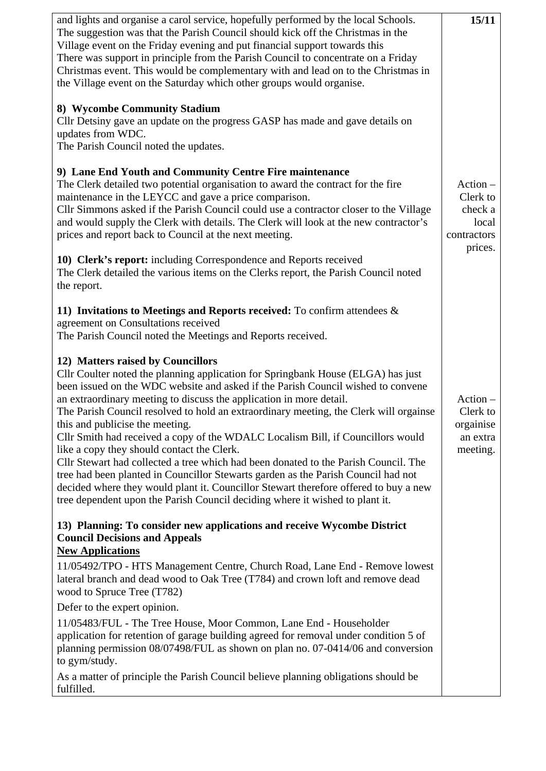| and lights and organise a carol service, hopefully performed by the local Schools.<br>The suggestion was that the Parish Council should kick off the Christmas in the<br>Village event on the Friday evening and put financial support towards this<br>There was support in principle from the Parish Council to concentrate on a Friday<br>Christmas event. This would be complementary with and lead on to the Christmas in<br>the Village event on the Saturday which other groups would organise.<br>8) Wycombe Community Stadium<br>Cllr Detsiny gave an update on the progress GASP has made and gave details on<br>updates from WDC.<br>The Parish Council noted the updates.<br>9) Lane End Youth and Community Centre Fire maintenance<br>The Clerk detailed two potential organisation to award the contract for the fire<br>maintenance in the LEYCC and gave a price comparison.<br>Cllr Simmons asked if the Parish Council could use a contractor closer to the Village<br>and would supply the Clerk with details. The Clerk will look at the new contractor's<br>prices and report back to Council at the next meeting.<br>10) Clerk's report: including Correspondence and Reports received<br>The Clerk detailed the various items on the Clerks report, the Parish Council noted<br>the report.<br>11) Invitations to Meetings and Reports received: To confirm attendees $\&$<br>agreement on Consultations received<br>The Parish Council noted the Meetings and Reports received.<br>12) Matters raised by Councillors<br>Cllr Coulter noted the planning application for Springbank House (ELGA) has just<br>been issued on the WDC website and asked if the Parish Council wished to convene<br>an extraordinary meeting to discuss the application in more detail.<br>The Parish Council resolved to hold an extraordinary meeting, the Clerk will orgainse | 15/11<br>$Action -$<br>Clerk to<br>check a<br>local<br>contractors<br>prices.<br>$Action -$<br>Clerk to |  |
|--------------------------------------------------------------------------------------------------------------------------------------------------------------------------------------------------------------------------------------------------------------------------------------------------------------------------------------------------------------------------------------------------------------------------------------------------------------------------------------------------------------------------------------------------------------------------------------------------------------------------------------------------------------------------------------------------------------------------------------------------------------------------------------------------------------------------------------------------------------------------------------------------------------------------------------------------------------------------------------------------------------------------------------------------------------------------------------------------------------------------------------------------------------------------------------------------------------------------------------------------------------------------------------------------------------------------------------------------------------------------------------------------------------------------------------------------------------------------------------------------------------------------------------------------------------------------------------------------------------------------------------------------------------------------------------------------------------------------------------------------------------------------------------------------------------------------------------------------------------------------------------|---------------------------------------------------------------------------------------------------------|--|
| this and publicise the meeting.<br>Cllr Smith had received a copy of the WDALC Localism Bill, if Councillors would<br>like a copy they should contact the Clerk.<br>Cllr Stewart had collected a tree which had been donated to the Parish Council. The<br>tree had been planted in Councillor Stewarts garden as the Parish Council had not<br>decided where they would plant it. Councillor Stewart therefore offered to buy a new<br>tree dependent upon the Parish Council deciding where it wished to plant it.                                                                                                                                                                                                                                                                                                                                                                                                                                                                                                                                                                                                                                                                                                                                                                                                                                                                                                                                                                                                                                                                                                                                                                                                                                                                                                                                                                 | orgainise<br>an extra<br>meeting.                                                                       |  |
| 13) Planning: To consider new applications and receive Wycombe District<br><b>Council Decisions and Appeals</b>                                                                                                                                                                                                                                                                                                                                                                                                                                                                                                                                                                                                                                                                                                                                                                                                                                                                                                                                                                                                                                                                                                                                                                                                                                                                                                                                                                                                                                                                                                                                                                                                                                                                                                                                                                      |                                                                                                         |  |
| <b>New Applications</b><br>11/05492/TPO - HTS Management Centre, Church Road, Lane End - Remove lowest<br>lateral branch and dead wood to Oak Tree (T784) and crown loft and remove dead<br>wood to Spruce Tree (T782)                                                                                                                                                                                                                                                                                                                                                                                                                                                                                                                                                                                                                                                                                                                                                                                                                                                                                                                                                                                                                                                                                                                                                                                                                                                                                                                                                                                                                                                                                                                                                                                                                                                               |                                                                                                         |  |
| Defer to the expert opinion.                                                                                                                                                                                                                                                                                                                                                                                                                                                                                                                                                                                                                                                                                                                                                                                                                                                                                                                                                                                                                                                                                                                                                                                                                                                                                                                                                                                                                                                                                                                                                                                                                                                                                                                                                                                                                                                         |                                                                                                         |  |
| 11/05483/FUL - The Tree House, Moor Common, Lane End - Householder<br>application for retention of garage building agreed for removal under condition 5 of<br>planning permission 08/07498/FUL as shown on plan no. 07-0414/06 and conversion<br>to gym/study.                                                                                                                                                                                                                                                                                                                                                                                                                                                                                                                                                                                                                                                                                                                                                                                                                                                                                                                                                                                                                                                                                                                                                                                                                                                                                                                                                                                                                                                                                                                                                                                                                       |                                                                                                         |  |
| As a matter of principle the Parish Council believe planning obligations should be<br>fulfilled.                                                                                                                                                                                                                                                                                                                                                                                                                                                                                                                                                                                                                                                                                                                                                                                                                                                                                                                                                                                                                                                                                                                                                                                                                                                                                                                                                                                                                                                                                                                                                                                                                                                                                                                                                                                     |                                                                                                         |  |